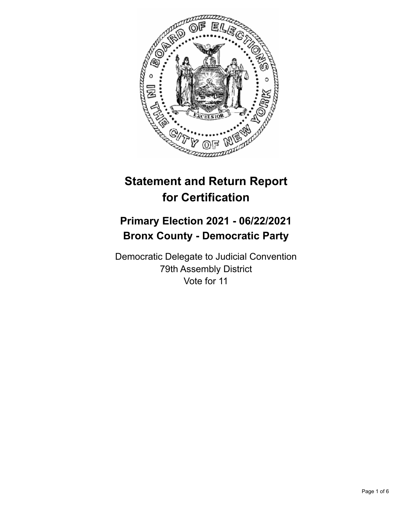

# **Statement and Return Report for Certification**

## **Primary Election 2021 - 06/22/2021 Bronx County - Democratic Party**

Democratic Delegate to Judicial Convention 79th Assembly District Vote for 11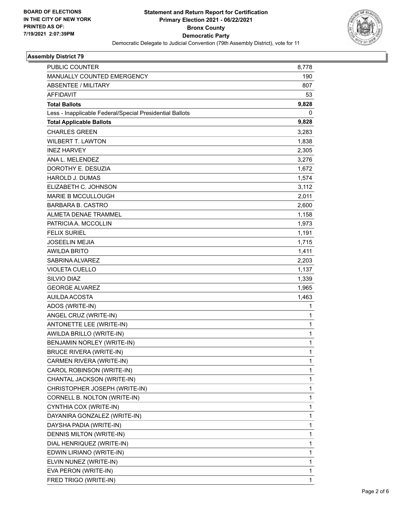

#### **Assembly District 79**

| PUBLIC COUNTER                                           | 8,778        |
|----------------------------------------------------------|--------------|
| <b>MANUALLY COUNTED EMERGENCY</b>                        | 190          |
| <b>ABSENTEE / MILITARY</b>                               | 807          |
| <b>AFFIDAVIT</b>                                         | 53           |
| <b>Total Ballots</b>                                     | 9,828        |
| Less - Inapplicable Federal/Special Presidential Ballots | 0            |
| <b>Total Applicable Ballots</b>                          | 9,828        |
| <b>CHARLES GREEN</b>                                     | 3,283        |
| <b>WILBERT T. LAWTON</b>                                 | 1,838        |
| <b>INEZ HARVEY</b>                                       | 2,305        |
| ANA L. MELENDEZ                                          | 3,276        |
| DOROTHY E. DESUZIA                                       | 1,672        |
| <b>HAROLD J. DUMAS</b>                                   | 1,574        |
| ELIZABETH C. JOHNSON                                     | 3,112        |
| <b>MARIE B MCCULLOUGH</b>                                | 2,011        |
| <b>BARBARA B. CASTRO</b>                                 | 2,600        |
| <b>ALMETA DENAE TRAMMEL</b>                              | 1,158        |
| PATRICIA A. MCCOLLIN                                     | 1,973        |
| <b>FELIX SURIEL</b>                                      | 1,191        |
| <b>JOSEELIN MEJIA</b>                                    | 1,715        |
| <b>AWILDA BRITO</b>                                      | 1,411        |
| SABRINA ALVAREZ                                          | 2,203        |
| <b>VIOLETA CUELLO</b>                                    | 1,137        |
| SILVIO DIAZ                                              | 1,339        |
| <b>GEORGE ALVAREZ</b>                                    | 1,965        |
| <b>AUILDA ACOSTA</b>                                     | 1,463        |
| ADOS (WRITE-IN)                                          | 1            |
| ANGEL CRUZ (WRITE-IN)                                    | 1            |
| ANTONETTE LEE (WRITE-IN)                                 | $\mathbf{1}$ |
| AWILDA BRILLO (WRITE-IN)                                 | 1            |
| BENJAMIN NORLEY (WRITE-IN)                               | 1            |
| <b>BRUCE RIVERA (WRITE-IN)</b>                           | 1            |
| CARMEN RIVERA (WRITE-IN)                                 | 1            |
| CAROL ROBINSON (WRITE-IN)                                | 1            |
| CHANTAL JACKSON (WRITE-IN)                               | $\mathbf{1}$ |
| CHRISTOPHER JOSEPH (WRITE-IN)                            | 1            |
| CORNELL B. NOLTON (WRITE-IN)                             | 1            |
| CYNTHIA COX (WRITE-IN)                                   | 1            |
| DAYANIRA GONZALEZ (WRITE-IN)                             | 1            |
| DAYSHA PADIA (WRITE-IN)                                  | 1            |
| DENNIS MILTON (WRITE-IN)                                 | $\mathbf{1}$ |
| DIAL HENRIQUEZ (WRITE-IN)                                | 1            |
| EDWIN LIRIANO (WRITE-IN)                                 | 1            |
| ELVIN NUNEZ (WRITE-IN)                                   | 1            |
| EVA PERON (WRITE-IN)                                     | 1            |
| FRED TRIGO (WRITE-IN)                                    | 1            |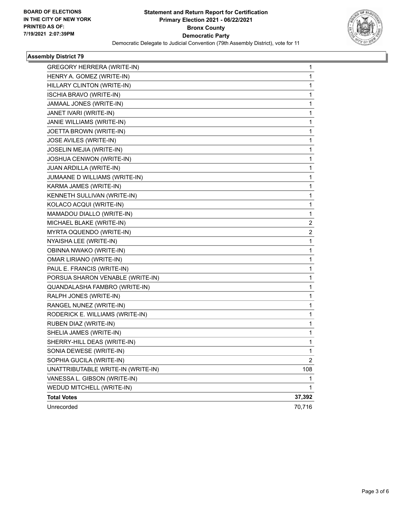

#### **Assembly District 79**

| <b>GREGORY HERRERA (WRITE-IN)</b>  | $\mathbf 1$    |
|------------------------------------|----------------|
| HENRY A. GOMEZ (WRITE-IN)          | 1              |
| HILLARY CLINTON (WRITE-IN)         | 1              |
| <b>ISCHIA BRAVO (WRITE-IN)</b>     | 1              |
| JAMAAL JONES (WRITE-IN)            | 1              |
| JANET IVARI (WRITE-IN)             | 1              |
| JANIE WILLIAMS (WRITE-IN)          | 1              |
| JOETTA BROWN (WRITE-IN)            | 1              |
| JOSE AVILES (WRITE-IN)             | $\mathbf{1}$   |
| JOSELIN MEJIA (WRITE-IN)           | 1              |
| JOSHUA CENWON (WRITE-IN)           | 1              |
| JUAN ARDILLA (WRITE-IN)            | $\mathbf{1}$   |
| JUMAANE D WILLIAMS (WRITE-IN)      | 1              |
| KARMA JAMES (WRITE-IN)             | 1              |
| KENNETH SULLIVAN (WRITE-IN)        | $\mathbf{1}$   |
| KOLACO ACQUI (WRITE-IN)            | 1              |
| MAMADOU DIALLO (WRITE-IN)          | 1              |
| MICHAEL BLAKE (WRITE-IN)           | 2              |
| MYRTA OQUENDO (WRITE-IN)           | 2              |
| NYAISHA LEE (WRITE-IN)             | 1              |
| OBINNA NWAKO (WRITE-IN)            | $\mathbf{1}$   |
| OMAR LIRIANO (WRITE-IN)            | 1              |
| PAUL E. FRANCIS (WRITE-IN)         | 1              |
| PORSUA SHARON VENABLE (WRITE-IN)   | $\mathbf{1}$   |
| QUANDALASHA FAMBRO (WRITE-IN)      | 1              |
| RALPH JONES (WRITE-IN)             | 1              |
| RANGEL NUNEZ (WRITE-IN)            | $\mathbf{1}$   |
| RODERICK E. WILLIAMS (WRITE-IN)    | 1              |
| RUBEN DIAZ (WRITE-IN)              | 1              |
| SHELIA JAMES (WRITE-IN)            | $\mathbf{1}$   |
| SHERRY-HILL DEAS (WRITE-IN)        | 1              |
| SONIA DEWESE (WRITE-IN)            | 1              |
| SOPHIA GUCILA (WRITE-IN)           | $\overline{2}$ |
| UNATTRIBUTABLE WRITE-IN (WRITE-IN) | 108            |
| VANESSA L. GIBSON (WRITE-IN)       | 1              |
| WEDUD MITCHELL (WRITE-IN)          | $\mathbf{1}$   |
| <b>Total Votes</b>                 | 37,392         |
| Unrecorded                         | 70,716         |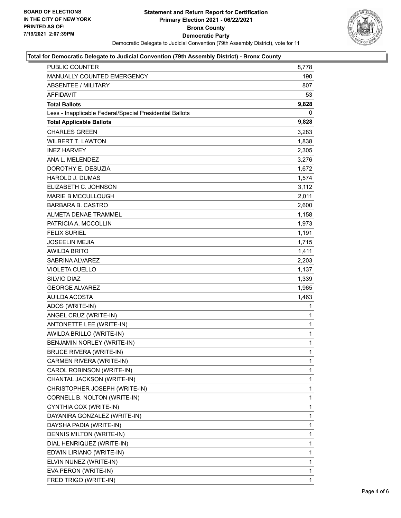

#### **Total for Democratic Delegate to Judicial Convention (79th Assembly District) - Bronx County**

| PUBLIC COUNTER                                           | 8,778        |
|----------------------------------------------------------|--------------|
| <b>MANUALLY COUNTED EMERGENCY</b>                        | 190          |
| <b>ABSENTEE / MILITARY</b>                               | 807          |
| AFFIDAVIT                                                | 53           |
| <b>Total Ballots</b>                                     | 9,828        |
| Less - Inapplicable Federal/Special Presidential Ballots | 0            |
| <b>Total Applicable Ballots</b>                          | 9,828        |
| <b>CHARLES GREEN</b>                                     | 3,283        |
| <b>WILBERT T. LAWTON</b>                                 | 1,838        |
| <b>INEZ HARVEY</b>                                       | 2,305        |
| ANA L. MELENDEZ                                          | 3,276        |
| DOROTHY E. DESUZIA                                       | 1,672        |
| <b>HAROLD J. DUMAS</b>                                   | 1,574        |
| ELIZABETH C. JOHNSON                                     | 3,112        |
| <b>MARIE B MCCULLOUGH</b>                                | 2,011        |
| <b>BARBARA B. CASTRO</b>                                 | 2,600        |
| <b>ALMETA DENAE TRAMMEL</b>                              | 1,158        |
| PATRICIA A. MCCOLLIN                                     | 1,973        |
| <b>FELIX SURIEL</b>                                      | 1,191        |
| <b>JOSEELIN MEJIA</b>                                    | 1,715        |
| <b>AWILDA BRITO</b>                                      | 1,411        |
| SABRINA ALVAREZ                                          | 2,203        |
| <b>VIOLETA CUELLO</b>                                    | 1,137        |
| SILVIO DIAZ                                              | 1,339        |
| <b>GEORGE ALVAREZ</b>                                    | 1,965        |
| AUILDA ACOSTA                                            | 1,463        |
| ADOS (WRITE-IN)                                          | 1            |
| ANGEL CRUZ (WRITE-IN)                                    | 1            |
| ANTONETTE LEE (WRITE-IN)                                 | $\mathbf{1}$ |
| AWILDA BRILLO (WRITE-IN)                                 | 1            |
| BENJAMIN NORLEY (WRITE-IN)                               | 1            |
| <b>BRUCE RIVERA (WRITE-IN)</b>                           | $\mathbf{1}$ |
| CARMEN RIVERA (WRITE-IN)                                 | 1            |
| CAROL ROBINSON (WRITE-IN)                                | 1            |
| CHANTAL JACKSON (WRITE-IN)                               | 1            |
| CHRISTOPHER JOSEPH (WRITE-IN)                            | 1            |
| CORNELL B. NOLTON (WRITE-IN)                             | 1            |
| CYNTHIA COX (WRITE-IN)                                   | 1            |
| DAYANIRA GONZALEZ (WRITE-IN)                             | 1            |
| DAYSHA PADIA (WRITE-IN)                                  | 1            |
| DENNIS MILTON (WRITE-IN)                                 | 1            |
| DIAL HENRIQUEZ (WRITE-IN)                                | 1            |
| EDWIN LIRIANO (WRITE-IN)                                 | 1            |
| ELVIN NUNEZ (WRITE-IN)                                   | 1            |
| EVA PERON (WRITE-IN)                                     | 1            |
| FRED TRIGO (WRITE-IN)                                    | 1            |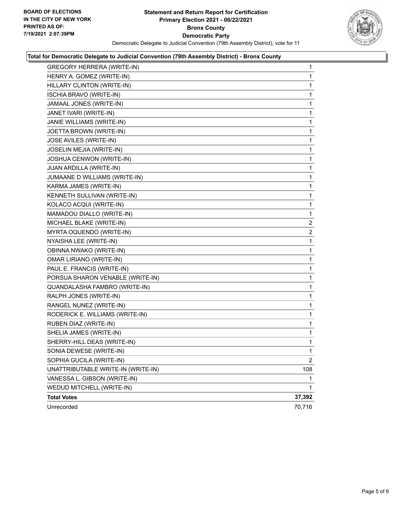

#### **Total for Democratic Delegate to Judicial Convention (79th Assembly District) - Bronx County**

| <b>GREGORY HERRERA (WRITE-IN)</b>  | 1              |
|------------------------------------|----------------|
| HENRY A. GOMEZ (WRITE-IN)          | $\mathbf 1$    |
| HILLARY CLINTON (WRITE-IN)         | $\mathbf{1}$   |
| <b>ISCHIA BRAVO (WRITE-IN)</b>     | $\mathbf 1$    |
| JAMAAL JONES (WRITE-IN)            | 1              |
| JANET IVARI (WRITE-IN)             | 1              |
| JANIE WILLIAMS (WRITE-IN)          | 1              |
| JOETTA BROWN (WRITE-IN)            | 1              |
| JOSE AVILES (WRITE-IN)             | 1              |
| JOSELIN MEJIA (WRITE-IN)           | $\mathbf 1$    |
| JOSHUA CENWON (WRITE-IN)           | 1              |
| JUAN ARDILLA (WRITE-IN)            | 1              |
| JUMAANE D WILLIAMS (WRITE-IN)      | 1              |
| KARMA JAMES (WRITE-IN)             | 1              |
| KENNETH SULLIVAN (WRITE-IN)        | 1              |
| KOLACO ACQUI (WRITE-IN)            | $\mathbf 1$    |
| MAMADOU DIALLO (WRITE-IN)          | 1              |
| MICHAEL BLAKE (WRITE-IN)           | 2              |
| MYRTA OQUENDO (WRITE-IN)           | $\overline{2}$ |
| NYAISHA LEE (WRITE-IN)             | 1              |
| OBINNA NWAKO (WRITE-IN)            | 1              |
| <b>OMAR LIRIANO (WRITE-IN)</b>     | $\mathbf 1$    |
| PAUL E. FRANCIS (WRITE-IN)         | 1              |
| PORSUA SHARON VENABLE (WRITE-IN)   | 1              |
| QUANDALASHA FAMBRO (WRITE-IN)      | 1              |
| RALPH JONES (WRITE-IN)             | 1              |
| RANGEL NUNEZ (WRITE-IN)            | 1              |
| RODERICK E. WILLIAMS (WRITE-IN)    | 1              |
| RUBEN DIAZ (WRITE-IN)              | 1              |
| SHELIA JAMES (WRITE-IN)            | 1              |
| SHERRY-HILL DEAS (WRITE-IN)        | 1              |
| SONIA DEWESE (WRITE-IN)            | 1              |
| SOPHIA GUCILA (WRITE-IN)           | $\mathbf{2}$   |
| UNATTRIBUTABLE WRITE-IN (WRITE-IN) | 108            |
| VANESSA L. GIBSON (WRITE-IN)       | 1              |
| WEDUD MITCHELL (WRITE-IN)          | $\mathbf{1}$   |
| <b>Total Votes</b>                 | 37,392         |
| Unrecorded                         | 70,716         |